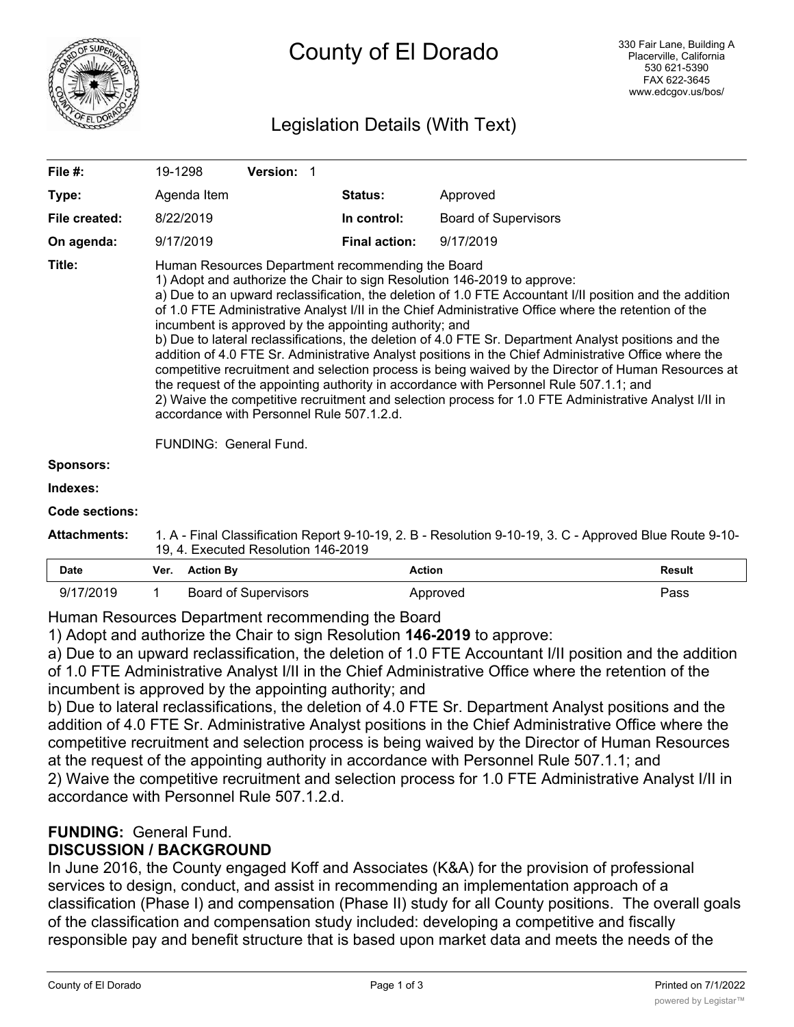

# County of El Dorado

# Legislation Details (With Text)

| File $#$ :       | 19-1298                                                                                                                                                                                                                                                                                                                                                                                                                                                                                                                                                                                                                                                                                                                                                                                                                                                                                                                                                                                                       | <b>Version: 1</b> |                      |                             |  |  |
|------------------|---------------------------------------------------------------------------------------------------------------------------------------------------------------------------------------------------------------------------------------------------------------------------------------------------------------------------------------------------------------------------------------------------------------------------------------------------------------------------------------------------------------------------------------------------------------------------------------------------------------------------------------------------------------------------------------------------------------------------------------------------------------------------------------------------------------------------------------------------------------------------------------------------------------------------------------------------------------------------------------------------------------|-------------------|----------------------|-----------------------------|--|--|
| Type:            | Agenda Item                                                                                                                                                                                                                                                                                                                                                                                                                                                                                                                                                                                                                                                                                                                                                                                                                                                                                                                                                                                                   |                   | <b>Status:</b>       | Approved                    |  |  |
| File created:    | 8/22/2019                                                                                                                                                                                                                                                                                                                                                                                                                                                                                                                                                                                                                                                                                                                                                                                                                                                                                                                                                                                                     |                   | In control:          | <b>Board of Supervisors</b> |  |  |
| On agenda:       | 9/17/2019                                                                                                                                                                                                                                                                                                                                                                                                                                                                                                                                                                                                                                                                                                                                                                                                                                                                                                                                                                                                     |                   | <b>Final action:</b> | 9/17/2019                   |  |  |
| Title:           | Human Resources Department recommending the Board<br>1) Adopt and authorize the Chair to sign Resolution 146-2019 to approve:<br>a) Due to an upward reclassification, the deletion of 1.0 FTE Accountant I/II position and the addition<br>of 1.0 FTE Administrative Analyst I/II in the Chief Administrative Office where the retention of the<br>incumbent is approved by the appointing authority; and<br>b) Due to lateral reclassifications, the deletion of 4.0 FTE Sr. Department Analyst positions and the<br>addition of 4.0 FTE Sr. Administrative Analyst positions in the Chief Administrative Office where the<br>competitive recruitment and selection process is being waived by the Director of Human Resources at<br>the request of the appointing authority in accordance with Personnel Rule 507.1.1; and<br>2) Waive the competitive recruitment and selection process for 1.0 FTE Administrative Analyst I/II in<br>accordance with Personnel Rule 507.1.2.d.<br>FUNDING: General Fund. |                   |                      |                             |  |  |
| <b>Sponsors:</b> |                                                                                                                                                                                                                                                                                                                                                                                                                                                                                                                                                                                                                                                                                                                                                                                                                                                                                                                                                                                                               |                   |                      |                             |  |  |
| Indexes:         |                                                                                                                                                                                                                                                                                                                                                                                                                                                                                                                                                                                                                                                                                                                                                                                                                                                                                                                                                                                                               |                   |                      |                             |  |  |

#### **Code sections:**

| <b>Attachments:</b> | 1. A - Final Classification Report 9-10-19, 2. B - Resolution 9-10-19, 3. C - Approved Blue Route 9-10- |
|---------------------|---------------------------------------------------------------------------------------------------------|
|                     | 19, 4. Executed Resolution 146-2019                                                                     |

| <b>Date</b> | Ver. | <b>Action By</b>            | Action   | Result |
|-------------|------|-----------------------------|----------|--------|
| 9/17/2019   |      | <b>Board of Supervisors</b> | Approved | Pass   |

Human Resources Department recommending the Board

1) Adopt and authorize the Chair to sign Resolution **146-2019** to approve:

a) Due to an upward reclassification, the deletion of 1.0 FTE Accountant I/II position and the addition of 1.0 FTE Administrative Analyst I/II in the Chief Administrative Office where the retention of the incumbent is approved by the appointing authority; and

b) Due to lateral reclassifications, the deletion of 4.0 FTE Sr. Department Analyst positions and the addition of 4.0 FTE Sr. Administrative Analyst positions in the Chief Administrative Office where the competitive recruitment and selection process is being waived by the Director of Human Resources at the request of the appointing authority in accordance with Personnel Rule 507.1.1; and 2) Waive the competitive recruitment and selection process for 1.0 FTE Administrative Analyst I/II in accordance with Personnel Rule 507.1.2.d.

# **FUNDING:** General Fund.

## **DISCUSSION / BACKGROUND**

In June 2016, the County engaged Koff and Associates (K&A) for the provision of professional services to design, conduct, and assist in recommending an implementation approach of a classification (Phase I) and compensation (Phase II) study for all County positions. The overall goals of the classification and compensation study included: developing a competitive and fiscally responsible pay and benefit structure that is based upon market data and meets the needs of the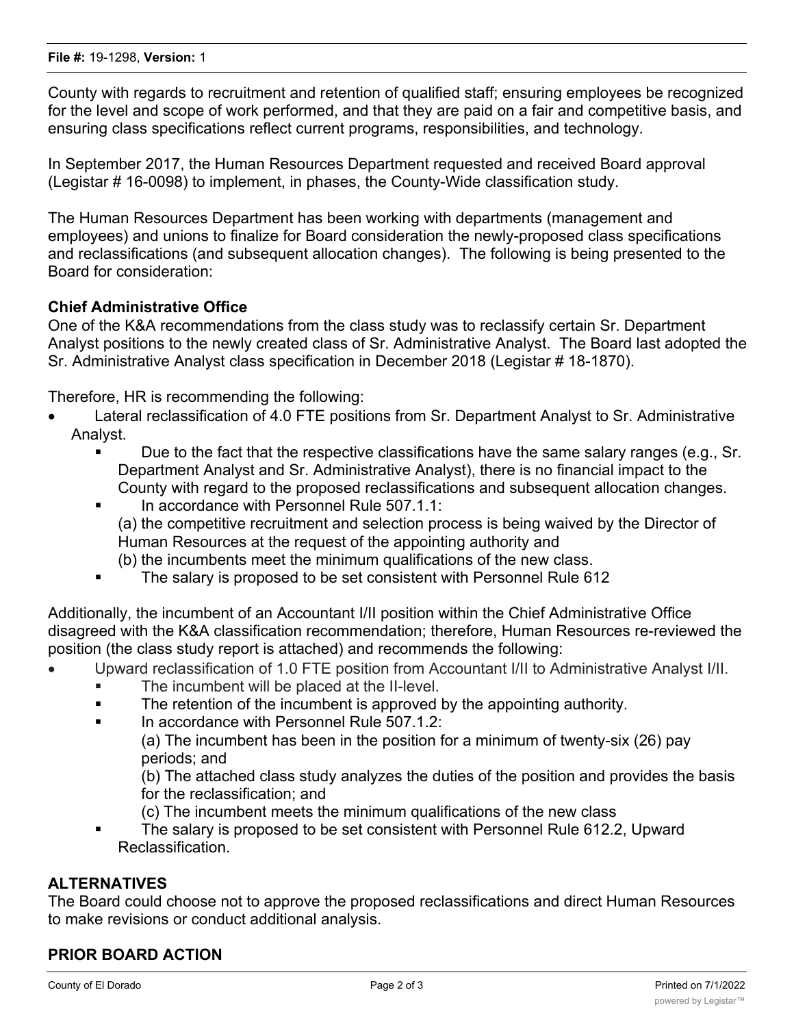County with regards to recruitment and retention of qualified staff; ensuring employees be recognized for the level and scope of work performed, and that they are paid on a fair and competitive basis, and ensuring class specifications reflect current programs, responsibilities, and technology.

In September 2017, the Human Resources Department requested and received Board approval (Legistar # 16-0098) to implement, in phases, the County-Wide classification study.

The Human Resources Department has been working with departments (management and employees) and unions to finalize for Board consideration the newly-proposed class specifications and reclassifications (and subsequent allocation changes). The following is being presented to the Board for consideration:

## **Chief Administrative Office**

One of the K&A recommendations from the class study was to reclassify certain Sr. Department Analyst positions to the newly created class of Sr. Administrative Analyst. The Board last adopted the Sr. Administrative Analyst class specification in December 2018 (Legistar # 18-1870).

Therefore, HR is recommending the following:

- Lateral reclassification of 4.0 FTE positions from Sr. Department Analyst to Sr. Administrative Analyst.
	- Due to the fact that the respective classifications have the same salary ranges (e.g., Sr. Department Analyst and Sr. Administrative Analyst), there is no financial impact to the County with regard to the proposed reclassifications and subsequent allocation changes.

#### **• In accordance with Personnel Rule 507.1.1:**

(a) the competitive recruitment and selection process is being waived by the Director of Human Resources at the request of the appointing authority and

- (b) the incumbents meet the minimum qualifications of the new class.
- The salary is proposed to be set consistent with Personnel Rule 612

Additionally, the incumbent of an Accountant I/II position within the Chief Administrative Office disagreed with the K&A classification recommendation; therefore, Human Resources re-reviewed the position (the class study report is attached) and recommends the following:

- · Upward reclassification of 1.0 FTE position from Accountant I/II to Administrative Analyst I/II.
	- The incumbent will be placed at the II-level.
	- The retention of the incumbent is approved by the appointing authority.
	- In accordance with Personnel Rule 507.1.2:

(a) The incumbent has been in the position for a minimum of twenty-six (26) pay periods; and

(b) The attached class study analyzes the duties of the position and provides the basis for the reclassification; and

- (c) The incumbent meets the minimum qualifications of the new class
- The salary is proposed to be set consistent with Personnel Rule 612.2, Upward Reclassification.

#### **ALTERNATIVES**

The Board could choose not to approve the proposed reclassifications and direct Human Resources to make revisions or conduct additional analysis.

## **PRIOR BOARD ACTION**